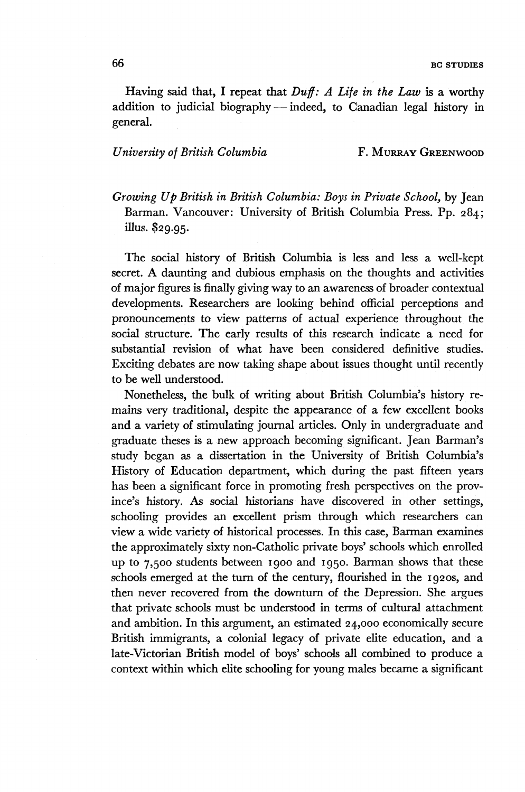Having said that, I repeat that *Duff: A Life in the Law* is a worthy addition to judicial biography — indeed, to Canadian legal history in general.

## *University of British Columbia* F. MURRAY GREENWOOD

*Growing Up British in British Columbia: Boys in Private School,* by Jean Barman. Vancouver: University of British Columbia Press. Pp. 284; illus. \$29.95.

The social history of British Columbia is less and less a well-kept secret. A daunting and dubious emphasis on the thoughts and activities of major figures is finally giving way to an awareness of broader contextual developments. Researchers are looking behind official perceptions and pronouncements to view patterns of actual experience throughout the social structure. The early results of this research indicate a need for substantial revision of what have been considered definitive studies. Exciting debates are now taking shape about issues thought until recently to be well understood.

Nonetheless, the bulk of writing about British Columbia's history remains very traditional, despite the appearance of a few excellent books and a variety of stimulating journal articles. Only in undergraduate and graduate theses is a new approach becoming significant. Jean Barman's study began as a dissertation in the University of British Columbia's History of Education department, which during the past fifteen years has been a significant force in promoting fresh perspectives on the province's history. As social historians have discovered in other settings, schooling provides an excellent prism through which researchers can view a wide variety of historical processes. In this case, Barman examines the approximately sixty non-Catholic private boys' schools which enrolled up to 7,500 students between 1900 and 1950. Barman shows that these schools emerged at the turn of the century, flourished in the 1920s, and then never recovered from the downturn of the Depression. She argues that private schools must be understood in terms of cultural attachment and ambition. In this argument, an estimated 24,000 economically secure British immigrants, a colonial legacy of private elite education, and a late-Victorian British model of boys' schools all combined to produce a context within which elite schooling for young males became a significant